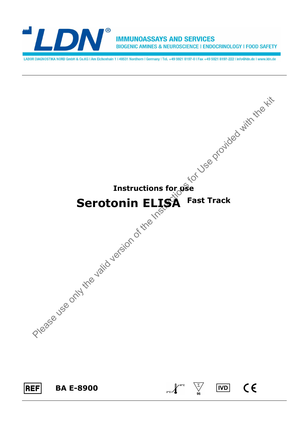

**IMMUNOASSAYS AND SERVICES BIOGENIC AMINES & NEUROSCIENCE | ENDOCRINOLOGY | FOOD SAFETY** 

LABOR DIAGNOSTIKA NORD GmbH & Co.KG | Am Eichenhain 1 | 48531 Nordhorn | Germany | Tel. +49 5921 8197-0 | Fax +49 5921 8197-222 | info@ldn.de | www.ldn.de

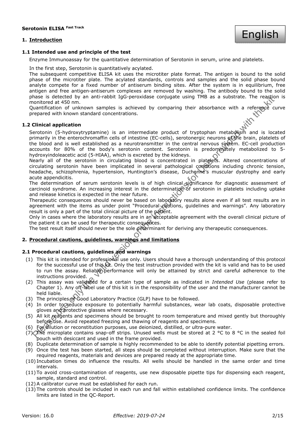## **1. Introduction**



## **1.1 Intended use and principle of the test**

Enzyme Immunoassay for the quantitative determination of Serotonin in serum, urine and platelets.

In the first step, Serotonin is quantitatively acylated.

The subsequent competitive ELISA kit uses the microtiter plate format. The antigen is bound to the solid phase of the microtiter plate. The acylated standards, controls and samples and the solid phase bound analyte compete for a fixed number of antiserum binding sites. After the system is in equilibrium, free antigen and free antigen-antiserum complexes are removed by washing. The antibody bound to the solid phase is detected by an anti-rabbit IgG-peroxidase conjugate using TMB as a substrate. The reaction is monitored at 450 nm.

Quantification of unknown samples is achieved by comparing their absorbance with a reference curve prepared with known standard concentrations.

## **1.2 Clinical application**

nase is release the distribution of the mean fit and the valid version of the instruction of the state of the mean of the state in the relationship of the state in the mean of the instructions of the instructions of the in Serotonin (5-hydroxytryptamine) is an intermediate product of tryptophan metabolism and is located primarily in the enterochromaffin cells of intestine (EC-cells), serotonergic neurons of the brain, platelets of the blood and is well established as a neurotransmitter in the central nervous system. EC-cell production accounts for 80% of the body's serotonin content. Serotonin is predominately metabolized to 5 hydroxyindoleacetic acid (5-HIAA), which is excreted by the kidneys.

Nearly all of the serotonin in circulating blood is concentrated in platelets. Altered concentrations of circulating serotonin have been implicated in several pathological conditions including chronic tension, headache, schizophrenia, hypertension, Huntington's disease, Duchenne's muscular dystrophy and early acute appendicitis.

The determination of serum serotonin levels is of high clinical significance for diagnostic assessment of carcinoid syndrome. An increasing interest in the determination of serotonin in platelets including uptake and release kinetics is expected in the near future.

Therapeutic consequences should never be based on laboratory results alone even if all test results are in agreement with the items as under point "Procedural cautions, guidelines and warnings". Any laboratory result is only a part of the total clinical picture of the patient.

Only in cases where the laboratory results are in an acceptable agreement with the overall clinical picture of the patient it can be used for therapeutic consequences.

The test result itself should never be the sole determinant for deriving any therapeutic consequences.

## **2. Procedural cautions, guidelines, warnings and limitations**

# **2.1 Procedural cautions, guidelines and warnings**

- (1) This kit is intended for professional use only. Users should have a thorough understanding of this protocol for the successful use of this kit. Only the test instruction provided with the kit is valid and has to be used to run the assay. Reliable performance will only be attained by strict and careful adherence to the instructions provided.
- (2) This assay was validated for a certain type of sample as indicated in *Intended Use* (please refer to Chapter 1). Any off-label use of this kit is in the responsibility of the user and the manufacturer cannot be held liable.
- (3) The principles of Good Laboratory Practice (GLP) have to be followed.
- (4) In order to reduce exposure to potentially harmful substances, wear lab coats, disposable protective gloves and protective glasses where necessary.
- (5) All kit reagents and specimens should be brought to room temperature and mixed gently but thoroughly before use. Avoid repeated freezing and thawing of reagents and specimens.
- (6) For dilution or reconstitution purposes, use deionized, distilled, or ultra-pure water.
- (7) The microplate contains snap-off strips. Unused wells must be stored at 2 °C to 8 °C in the sealed foil pouch with desiccant and used in the frame provided.
- (8) Duplicate determination of sample is highly recommended to be able to identify potential pipetting errors.
- (9) Once the test has been started, all steps should be completed without interruption. Make sure that the required reagents, materials and devices are prepared ready at the appropriate time.
- (10) Incubation times do influence the results. All wells should be handled in the same order and time intervals.
- (11) To avoid cross-contamination of reagents, use new disposable pipette tips for dispensing each reagent, sample, standard and control.
- (12) A calibrator curve must be established for each run.
- (13) The controls should be included in each run and fall within established confidence limits. The confidence limits are listed in the QC-Report.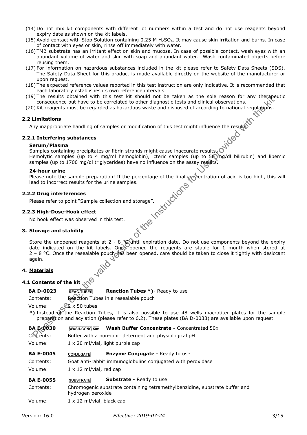- (14) Do not mix kit components with different lot numbers within a test and do not use reagents beyond expiry date as shown on the kit labels.
- (15) Avoid contact with Stop Solution containing 0.25 M H2SO4. It may cause skin irritation and burns. In case of contact with eyes or skin, rinse off immediately with water.
- (16) TMB substrate has an irritant effect on skin and mucosa. In case of possible contact, wash eyes with an abundant volume of water and skin with soap and abundant water. Wash contaminated objects before reusing them.
- (17) For information on hazardous substances included in the kit please refer to Safety Data Sheets (SDS). The Safety Data Sheet for this product is made available directly on the website of the manufacturer or upon request.
- (18) The expected reference values reported in this test instruction are only indicative. It is recommended that each laboratory establishes its own reference intervals.
- (19) The results obtained with this test kit should not be taken as the sole reason for any therapeutic consequence but have to be correlated to other diagnostic tests and clinical observations.
- (20) Kit reagents must be regarded as hazardous waste and disposed of according to national regulations.

## **2.2 Limitations**

Any inappropriate handling of samples or modification of this test might influence the results.

## **2.2.1 Interfering substances**

## **Serum/Plasma**

Samples containing precipitates or fibrin strands might cause inaccurate results. Hemolytic samples (up to 4 mg/ml hemoglobin), icteric samples (up to 50 mg/dl bilirubin) and lipemic samples (up to 1700 mg/dl triglycerides) have no influence on the assay results.

#### **24-hour urine**

Please note the sample preparation! If the percentage of the final concentration of acid is too high, this will<br>lead to incorrect results for the urine samples.<br>2.2 Drug interferences<br>Please refer to point "Sample collecti lead to incorrect results for the urine samples.

## **2.2.2 Drug interferences**

Please refer to point "Sample collection and storage".

## **2.2.3 High-Dose-Hook effect**

No hook effect was observed in this test.

## **3. Storage and stability**

From the text is the valid version of the section The valid version of the result of the section of this test in the valid version of this test in the valid version of this test instructions (with respect to the regarded Store the unopened reagents at 2 - 8 °C until expiration date. Do not use components beyond the expiry date indicated on the kit labels. Once opened the reagents are stable for 1 month when stored at 2 - 8 °C. Once the resealable pouch has been opened, care should be taken to close it tightly with desiccant again.

## **4. Materials**

## **4.1 Contents of the kit**  $\sqrt{ }$

**BA D-0023** REAC-TUBES **Reaction Tubes \*)**- Ready to use Contents: Reaction Tubes in a resealable pouch

Volume:  $\angle$  2 x 50 tubes

**\*)** Instead of the Reaction Tubes, it is also possible to use 48 wells macrotiter plates for the sample preparation and acylation (please refer to 6.2). These plates (BA D-0033) are available upon request.

BA E-0030 WASH-CONC 50x Wash Buffer Concentrate - Concentrated 50x

Contents: Buffer with a non-ionic detergent and physiological pH

Volume: 1 x 20 ml/vial, light purple cap

| <b>BA E-0045</b> | <b>CONJUGATE</b> | <b>Enzyme Conjugate</b> - Ready to use |
|------------------|------------------|----------------------------------------|
|                  |                  |                                        |

Contents: Goat anti-rabbit immunoglobulins conjugated with peroxidase

Volume: 1 x 12 ml/vial, red cap

## **BA E-0055** SUBSTRATE **Substrate** - Ready to use

Contents: Chromogenic substrate containing tetramethylbenzidine, substrate buffer and hydrogen peroxide

Volume: 1 x 12 ml/vial, black cap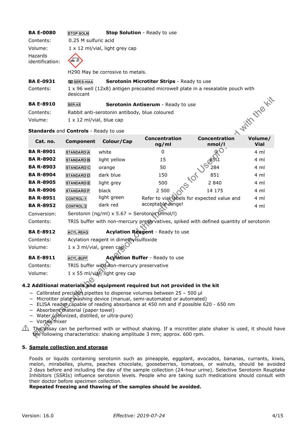## **BA E-0080 STOP-SOLN Stop Solution** - Ready to use

Contents: 0.25 M sulfuric acid Volume: 1 x 12 ml/vial, light grey cap Hazards identification:



H290 May be corrosive to metals.

| <b>BA E-0931</b> | <b>TED</b> SER 5-HIAA | <b>Serotonin Microtiter Strips</b> - Ready to use                               |  |
|------------------|-----------------------|---------------------------------------------------------------------------------|--|
| Contents:        | desiccant             | 1 x 96 well (12x8) antigen precoated microwell plate in a resealable pouch with |  |
| <b>BA E-8910</b> | <b>SER-AS</b>         | <b>Serotonin Antiserum</b> - Ready to use                                       |  |
| Contents:        |                       | Rabbit anti-serotonin antibody, blue coloured                                   |  |

## **Standards** and **Controls** - Ready to use

| <b>BA E-8910</b>                              | <b>SER-AS</b>                         |                                                                  | Serotonin Antiserum - Ready to use                                                                                                                                               |                                            |                        |  |
|-----------------------------------------------|---------------------------------------|------------------------------------------------------------------|----------------------------------------------------------------------------------------------------------------------------------------------------------------------------------|--------------------------------------------|------------------------|--|
| Contents:                                     |                                       | d viith the Kit<br>Rabbit anti-serotonin antibody, blue coloured |                                                                                                                                                                                  |                                            |                        |  |
| Volume:                                       | $1 \times 12$ ml/vial, blue cap       |                                                                  |                                                                                                                                                                                  |                                            |                        |  |
|                                               | Standards and Controls - Ready to use |                                                                  |                                                                                                                                                                                  |                                            |                        |  |
| Cat. no.                                      | Component                             | Colour/Cap                                                       | Concentration<br>ng/ml                                                                                                                                                           | <b>Concentration</b><br>nmol/l             | Volume/<br><b>Vial</b> |  |
| <b>BA R-8901</b>                              | STANDARD <sup>A</sup>                 | white                                                            | 0                                                                                                                                                                                | $\alpha$ O                                 | 4 ml                   |  |
| <b>BA R-8902</b>                              | <b>STANDARD</b> B                     | light yellow                                                     | 15                                                                                                                                                                               | 685                                        | 4 ml                   |  |
| <b>BA R-8903</b>                              | <b>STANDARD</b> C                     | orange                                                           | 50                                                                                                                                                                               | 284                                        | 4 ml                   |  |
| <b>BA R-8904</b>                              | <b>STANDARD</b> D                     | dark blue                                                        | 150                                                                                                                                                                              | 851                                        | 4 ml                   |  |
| <b>BA R-8905</b>                              | <b>STANDARD</b> E                     | light grey                                                       | 500                                                                                                                                                                              | 2 8 4 0                                    | 4 ml                   |  |
| <b>BA R-8906</b>                              | <b>STANDARD</b> F                     | black                                                            | 2 500                                                                                                                                                                            | 14 175                                     | 4 ml                   |  |
| <b>BA R-8951</b>                              | <b>CONTROL</b>                        | light green                                                      |                                                                                                                                                                                  | Refer to vial abels for expected value and | 4 ml                   |  |
| <b>BA R-8952</b>                              | CONTROL <sup>2</sup>                  | dark red                                                         | acceptable vange!                                                                                                                                                                |                                            | 4 ml                   |  |
| Conversion:                                   |                                       | Serotonin (ng/ml) x 5.67 = Serotonin (mmol/l)                    |                                                                                                                                                                                  |                                            |                        |  |
| Contents:                                     |                                       |                                                                  | TRIS buffer with non-mercury preservatives, spiked with defined quantity of serotonin                                                                                            |                                            |                        |  |
| <b>BA E-8912</b>                              | <b>ACYL-REAG</b>                      |                                                                  | Acylation Reagent - Ready to use                                                                                                                                                 |                                            |                        |  |
| Contents:                                     |                                       | Acylation reagent in dimethylsulfoxide                           |                                                                                                                                                                                  |                                            |                        |  |
| Volume:                                       | 1 x 3 ml/vial, green cap              |                                                                  |                                                                                                                                                                                  |                                            |                        |  |
| <b>BA E-8911</b>                              | <b>ACYL-BUFF</b>                      |                                                                  | Acylation Buffer - Ready to use                                                                                                                                                  |                                            |                        |  |
| Contents:                                     |                                       | TRIS buffer with mon-mercury preservative                        |                                                                                                                                                                                  |                                            |                        |  |
| Volume:                                       |                                       | 1 x 55 ml/vial/light grey cap                                    |                                                                                                                                                                                  |                                            |                        |  |
|                                               |                                       |                                                                  |                                                                                                                                                                                  |                                            |                        |  |
|                                               |                                       |                                                                  | 2 Additional materials and equipment required but not provided in the kit                                                                                                        |                                            |                        |  |
| $\overline{\phantom{0}}$<br>$\qquad \qquad -$ |                                       |                                                                  | Calibrated precision pipettes to dispense volumes between $25 - 500$ µ<br>Microtiter plate washing device (manual, semi-automated or automated)                                  |                                            |                        |  |
| $\qquad \qquad -$                             |                                       |                                                                  | ELISA reader capable of reading absorbance at 450 nm and if possible 620 - 650 nm                                                                                                |                                            |                        |  |
| $\overline{\phantom{m}}$                      | Absorbent material (paper towel)      |                                                                  |                                                                                                                                                                                  |                                            |                        |  |
|                                               |                                       | Water (defonized, distilled, or ultra-pure)                      |                                                                                                                                                                                  |                                            |                        |  |
| Vortex mixer<br>$-$                           |                                       |                                                                  |                                                                                                                                                                                  |                                            |                        |  |
|                                               |                                       |                                                                  | The assay can be performed with or without shaking. If a microtiter plate shaker is used, it should h<br>the following characteristics: shaking amplitude 3 mm; approx. 600 rpm. |                                            |                        |  |

# **BA E-8912 ACYL-REAG Acylation Reagent** - Ready to use Contents: Acylation reagent in dimethylsulfoxide

## **BA E-8911 ACYL-BUFF Acylation Buffer** - Ready to use

## **4.2 Additional materials and equipment required but not provided in the kit**

- − Calibrated precision pipettes to dispense volumes between 25 500 µl
- − Microtiter plate washing device (manual, semi-automated or automated)
- − ELISA reader capable of reading absorbance at 450 nm and if possible 620 650 nm
- − Absorbent material (paper towel)
- − Water (deionized, distilled, or ultra-pure)
- − Vortex mixer

 $\triangle$  The assay can be performed with or without shaking. If a microtiter plate shaker is used, it should have the following characteristics: shaking amplitude 3 mm; approx. 600 rpm.

## **5. Sample collection and storage**

Foods or liquids containing serotonin such as pineapple, eggplant, avocados, bananas, currants, kiwis, melon, mirabelles, plums, peaches chocolate, gooseberries, tomatoes, or walnuts, should be avoided 2 days before and including the day of the sample collection (24-hour urine). Selective Serotonin Reuptake Inhibitors (SSRIs) influence serotonin levels. People who are taking such medications should consult with their doctor before specimen collection.

## **Repeated freezing and thawing of the samples should be avoided.**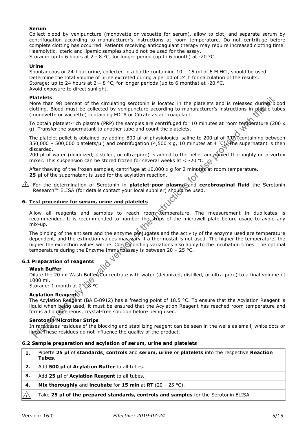## **Serum**

Collect blood by venipuncture (monovette or vacuette for serum), allow to clot, and separate serum by centrifugation according to manufacturer's instructions at room temperature. Do not centrifuge before complete clotting has occurred. Patients receiving anticoagulant therapy may require increased clotting time. Haemolytic, icteric and lipemic samples should not be used for the assay. Storage: up to 6 hours at 2 - 8 °C, for longer period (up to 6 month) at -20 °C.

#### **Urine**

Spontaneous or 24-hour urine, collected in a bottle containing 10 – 15 ml of 6 M HCl, should be used. Determine the total volume of urine excreted during a period of 24 h for calculation of the results. Storage: up to 24 hours at  $2 - 8$  °C, for longer periods (up to 6 months) at -20 °C. Avoid exposure to direct sunlight.

#### **Platelets**

More than 98 percent of the circulating serotonin is located in the platelets and is released during blood clotting. Blood must be collected by venipuncture according to manufacturer's instructions in plastic tubes (monovette or vacuette) containing EDTA or Citrate as anticoagulant.

To obtain platelet-rich plasma (PRP) the samples are centrifuged for 10 minutes at room temperature (200  $\times$ g). Transfer the supernatant to another tube and count the platelets.

The platelet pellet is obtained by adding 800 µl of physiological saline to 200 µl of RRP (containing between 350,000 – 500,000 platelets/µl) and centrifugation (4,500 x g, 10 minutes at 4 °C). The supernatant is then discarded.

200 µl of water (deionized, distilled, or ultra-pure) is added to the pellet and mixed thoroughly on a vortex mixer. This suspension can be stored frozen for several weeks at < -20 °C.  $Q_1$ 

After thawing of the frozen samples, centrifuge at 10,000 x g for 2 minutes at room temperature. **25 µl** of the supernatant is used for the acylation reaction.

 For the determination of Serotonin in **platelet-poor plasma** and **cerebrospinal fluid** the Serotonin Research™ ELISA (for details contact your local supplier) should be used.

## **6. Test procedure for serum, urine and platelets**

Allow all reagents and samples to reach room temperature. The measurement in duplicates is recommended. It is recommended to number the strips of the microwell plate before usage to avoid any mix-up.

**latelets**<br>
latelets<br>
latelets<br>
dictions in the collected by emplancian is located in the platelets and is released dumig-bit<br>
columns of the breased of the breased of the valid version of the minimal<br>
provided of the sta The binding of the antisera and the enzyme conjugates and the activity of the enzyme used are temperature dependent, and the extinction values may vary if a thermostat is not used. The higher the temperature, the higher the extinction values will be. Corresponding variations also apply to the incubation times. The optimal temperature during the Enzyme Immuroassay is between 20 - 25 °C.

## **6.1 Preparation of reagents**

## **Wash Buffer**

Dilute the 20 ml Wash Buffer Concentrate with water (deionized, distilled, or ultra-pure) to a final volume of 1000 ml.

Storage: 1 month at 2  $8^\circ$ C

## **Acylation Reagent**

The Acylation Reagent (BA E-8912) has a freezing point of 18.5 °C. To ensure that the Acylation Reagent is liquid when belog used, it must be ensured that the Acylation Reagent has reached room temperature and forms a homogeneous, crystal-free solution before being used.

## **Serotonin** Microtiter Strips

In rare cases residues of the blocking and stabilizing reagent can be seen in the wells as small, white dots or lines. These residues do not influence the quality of the product.

## **6.2 Sample preparation and acylation of serum, urine and platelets**

| Pipette 25 µl of standards, controls and serum, urine or platelets into the respective Reaction |
|-------------------------------------------------------------------------------------------------|
| Tubes.                                                                                          |

- **2.** Add **500 µl** of **Acylation Buffer** to all tubes.
- **3.** Add **25 µl** of **Acylation Reagent** to all tubes.
- **4. Mix thoroughly** and **incubate** for **15 min** at **RT** (20 25 °C).
- Take **25 µl of the prepared standards, controls and samples** for the Serotonin ELISA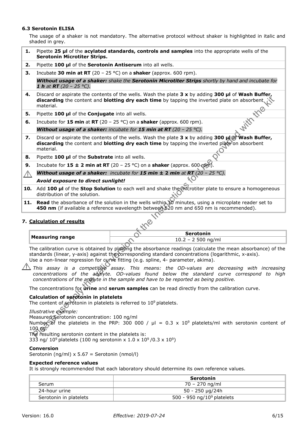## **6.3 Serotonin ELISA**

The usage of a shaker is not mandatory. The alternative protocol without shaker is highlighted in italic and shaded in grey.

| 1.              | Pipette 25 µl of the acylated standards, controls and samples into the appropriate wells of the<br>Serotonin Microtiter Strips.                                                                                                                                                                          |  |  |  |  |  |
|-----------------|----------------------------------------------------------------------------------------------------------------------------------------------------------------------------------------------------------------------------------------------------------------------------------------------------------|--|--|--|--|--|
| 2.              | Pipette 100 µl of the Serotonin Antiserum into all wells.                                                                                                                                                                                                                                                |  |  |  |  |  |
| з.              | Incubate 30 min at RT (20 – 25 °C) on a shaker (approx. 600 rpm).                                                                                                                                                                                                                                        |  |  |  |  |  |
|                 | Without usage of a shaker: shake the Serotonin Microtiter Strips shortly by hand and incubate for<br><b>1 h</b> at <b>RT</b> (20 – 25 °C).                                                                                                                                                               |  |  |  |  |  |
| 4.              | Discard or aspirate the contents of the wells. Wash the plate $3 \times$ by adding $300 \mu l$ of Wash Buffer,<br>discarding the content and blotting dry each time by tapping the inverted plate on absorbent.<br>material.<br><b>With the</b>                                                          |  |  |  |  |  |
| 5.              | Pipette 100 µl of the Conjugate into all wells.                                                                                                                                                                                                                                                          |  |  |  |  |  |
| 6.              | Incubate for 15 min at RT (20 – 25 °C) on a shaker (approx. 600 rpm).                                                                                                                                                                                                                                    |  |  |  |  |  |
|                 | Without usage of a shaker: incubate for 15 min at RT (20 - 25 °C).                                                                                                                                                                                                                                       |  |  |  |  |  |
| 7.              | Discard or aspirate the contents of the wells. Wash the plate 3 x by adding 300 $\mu$ of Wash Buffer,<br>discarding the content and blotting dry each time by tapping the inverted plate on absorbent<br>material.                                                                                       |  |  |  |  |  |
| 8.              | Pipette 100 µl of the Substrate into all wells.                                                                                                                                                                                                                                                          |  |  |  |  |  |
| 9.              | Incubate for $15 \pm 2$ min at RT (20 - 25 °C) on a shaker (approx. 600 (pm)                                                                                                                                                                                                                             |  |  |  |  |  |
| $\sqrt{\wedge}$ | Without usage of a shaker: incubate for 15 min $\pm$ 2 min at RT (20 - 25 °C).                                                                                                                                                                                                                           |  |  |  |  |  |
|                 | Avoid exposure to direct sunlight!                                                                                                                                                                                                                                                                       |  |  |  |  |  |
| 10.             | Add 100 µl of the Stop Solution to each well and shake the inforcitier plate to ensure a homogeneous<br>distribution of the solution.                                                                                                                                                                    |  |  |  |  |  |
| 11.             | Read the absorbance of the solution in the wells within 10 minutes, using a microplate reader set to<br>450 nm (if available a reference wavelength between 620 nm and 650 nm is recommended).                                                                                                           |  |  |  |  |  |
|                 | 7. Calculation of results                                                                                                                                                                                                                                                                                |  |  |  |  |  |
|                 | Serotonin<br><b>Measuring range</b>                                                                                                                                                                                                                                                                      |  |  |  |  |  |
|                 | $10.2 - 2500$ ng/ml                                                                                                                                                                                                                                                                                      |  |  |  |  |  |
|                 | The calibration curve is obtained by plotting the absorbance readings (calculate the mean absorbance) of the<br>standards (linear, y-axis) against the corresponding standard concentrations (logarithmic, x-axis).<br>Use a non-linear regression for curve fitting (e.g. spline, 4- parameter, akima). |  |  |  |  |  |
|                 | This assay is a competitive assay. This means: the OD-values are decreasing with increasing<br>concentrations of the analyte. OD-values found below the standard curve correspond to high<br>concentrations of the analyte in the sample and have to be reported as being positive.                      |  |  |  |  |  |
|                 | The concentrations for <b>urine</b> and <b>serum samples</b> can be read directly from the calibration curve.                                                                                                                                                                                            |  |  |  |  |  |
|                 | Calculation of serotonin in platelets<br>The content of serotonin in platelets is referred to 10 <sup>9</sup> platelets.                                                                                                                                                                                 |  |  |  |  |  |
|                 | Illustrative example:<br>Measured Serotonin concentration: 100 ng/ml<br>Number of the platelets in the PRP: 300 000 / $\mu$ I = 0.3 x 10 <sup>9</sup> platelets/ml with serotonin content of<br>$100 \text{ kg}$<br>The resulting serotonin content in the platelets is:                                 |  |  |  |  |  |

## **7. Calculation of results**

|                      | Serotonin |  |
|----------------------|-----------|--|
| Measuring range $\,$ | 500 ng/ml |  |

## **Calculation of serotonin in platelets**

333 ng/ 10<sup>9</sup> platelets (100 ng serotonin x 1.0 x 10<sup>9</sup>/0.3 x 10<sup>9</sup>)

## **Conversion**

Serotonin (ng/ml) x 5.67 = Serotonin (nmol/l)

#### **Expected reference values**

It is strongly recommended that each laboratory should determine its own reference values.

|                        | Serotonin                              |
|------------------------|----------------------------------------|
| Serum                  | 70 – 270 ng/ml                         |
| 24-hour urine          | 50 - 250 µg/24h                        |
| Serotonin in platelets | 500 - 950 ng/10 <sup>9</sup> platelets |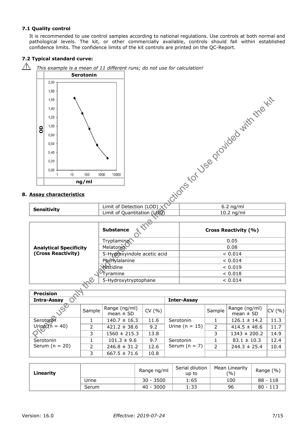## **7.1 Quality control**

It is recommended to use control samples according to national regulations. Use controls at both normal and pathological levels. The kit, or other commercially available, controls should fall within established confidence limits. The confidence limits of the kit controls are printed on the QC-Report.

## **7.2 Typical standard curve:**

 $\bigwedge$  *This example is a mean of 11 different runs; do not use for calculation!*  **Serotonin**   $2,00$ 1,80 Figure 1.1.2 and the valid version of the Valid version of the Valid version of the Valid version of the Valid version of the Instruction of the Valid version of the Valid version of the Instruction of the Instruction of **OD ng/ml 8. Assay characteristics Sensitivity Consider Limit of Detection (LOD)**  $\sqrt{}$  10.2 ng/ml<br>
Limit of Quantitation (LOQ) 10.2 ng/ml **Substance**  $\sqrt[n]{\ }$  and  $\sqrt[n]{\ }$  Cross Reactivity (%) Tryptamine and the contract of the contract of the contract of the contract of the contract of the contract of the contract of the contract of the contract of the contract of the contract of the contract of the contract of **Analytical Specificity**  Melatonin 0.08 **(Cross Reactivity)**  5-Hydroxyindole acetic acid  $\sim$  0.014 Phenylalanine < 0.014 Histidine < 0.019  $\sigma_{\text{Tyramine}}$   $< 0.018$ 5-Hydroxytryptophane < 0.014 **Precision** 

| гіссіэічіі       |        |                                |        |                    |        |                                |                  |
|------------------|--------|--------------------------------|--------|--------------------|--------|--------------------------------|------------------|
| Intra-Assay      |        |                                |        | <b>Inter-Assay</b> |        |                                |                  |
| $\mathcal{S}$    | Sample | Range (ng/ml)<br>mean $\pm$ SD | CV(% ) |                    | Sample | Range (ng/ml)<br>mean $\pm$ SD | $ CV( %)\rangle$ |
| Serotonin        |        | $140.7 \pm 16.3$               | 11.6   | Serotonin          |        | $126.1 \pm 14.2$               | 11.3             |
| Uring $(n = 40)$ | 2      | $421.2 \pm 38.6$               | 9.2    | Urine ( $n = 15$ ) | 2      | $414.5 \pm 48.6$               | 11.7             |
|                  | 3      | $1560 \pm 215.3$               | 13.8   |                    | 3      | $1343 \pm 200.2$               | 14.9             |
| Serotonin        |        | $101.3 \pm 9.6$                | 9.7    | Serotonin          |        | $83.1 \pm 10.3$                | 12.4             |
| Serum $(n = 20)$ | 2      | $246.8 \pm 31.2$               | 12.6   | Serum $(n = 7)$    | 2      | $244.3 \pm 25.4$               | 10.4             |
|                  | 3      | $667.5 \pm 71.6$               | 10.8   |                    |        |                                |                  |

| Linearity |       | Range ng/ml | Serial dilution<br>Mean Linearity<br>(9/0)<br>up to |     | Range (%)  |
|-----------|-------|-------------|-----------------------------------------------------|-----|------------|
|           | Urine | $30 - 3500$ | 1:65                                                | 100 | $88 - 118$ |
|           | Serum | $40 - 3000$ | 1:33                                                | 96  | $80 - 113$ |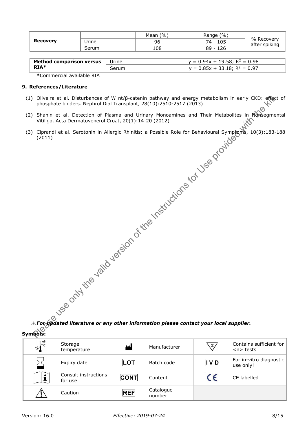| <b>Recovery</b> |       | (9/0)<br>Mean | Range (%)  |                             |
|-----------------|-------|---------------|------------|-----------------------------|
|                 | Jrine | 96            | 74 - 105   | % Recovery<br>after spiking |
|                 | Serum | 108           | $89 - 126$ |                             |
|                 |       |               |            |                             |

| $v = 0.94x + 19.58$ ; R <sup>2</sup> = 0.98<br><b>Method comparison versus</b><br>Urine |  |
|-----------------------------------------------------------------------------------------|--|
| RIA*<br>$v = 0.85x + 33.18$ ; R <sup>2</sup> = 0.97                                     |  |

**\***Commercial available RIA

## **9. References/Literature**

- (1) Oliveira et al. Disturbances of W nt/β-catenin pathway and energy metabolism in early CKD: effect of phosphate binders. Nephrol Dial Transplant, 28(10):2510-2517 (2013)
- Oliveire at al. Distributiones of With Prediction pathway and energy metabolism in early CKD: effect<br>phosphate binders. Nephrol Dial Transplant, 28(10):2510-2517 (2013)<br>Shahin et al. Detection of Plasma and Urinary Moneami (2) Shahin et al. Detection of Plasma and Urinary Monoamines and Their Metabolites in Nonsegmental Vitiligo. Acta Dermatovenerol Croat, 20(1):14-20 (2012)
- (3) Ciprandi et al. Serotonin in Allergic Rhinitis: a Possible Role for Behavioural Symptoms, 10(3):183-188 (2011)

*For updated literature or any other information please contact your local supplier.*  **Symbols:** 

| Jynnyvis.         |                                 |             |                     |            |                                      |
|-------------------|---------------------------------|-------------|---------------------|------------|--------------------------------------|
| $+2\int_{c}^{+8}$ | Storage<br>temperature          | للمم        | Manufacturer        | $\Sigma/$  | Contains sufficient for<br>$n$ tests |
|                   | Expiry date                     | LOT         | Batch code          | IVD        | For in-vitro diagnostic<br>use only! |
|                   | Consult instructions<br>for use | <b>CONT</b> | Content             | $\epsilon$ | CE labelled                          |
|                   | Caution                         | <b>REF</b>  | Catalogue<br>number |            |                                      |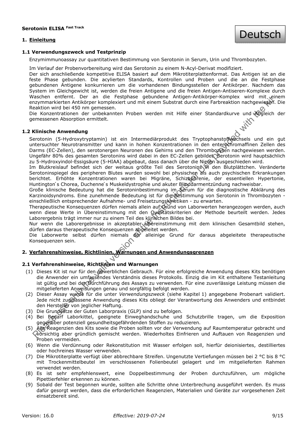## **1. Einleitung**



## **1.1 Verwendungszweck und Testprinzip**

Enzymimmunoassay zur quantitativen Bestimmung von Serotonin in Serum, Urin und Thrombozyten.

Im Verlauf der Probenvorbereitung wird das Serotonin zu einem N-Acyl-Derivat modifiziert.

Der sich anschließende kompetitive ELISA basiert auf dem Mikrotiterplattenformat. Das Antigen ist an die feste Phase gebunden. Die acylierten Standards, Kontrollen und Proben und die an die Festphase gebundenen Antigene konkurrieren um die vorhandenen Bindungsstellen der Antikörper. Nachdem das System im Gleichgewicht ist, werden die freien Antigene und die freien Antigen-Antiseren-Komplexe durch Waschen entfernt. Der an die Festphase gebundene Antigen-Antikörper-Komplex wird mit einem enzymmarkierten Antikörper komplexiert und mit einem Substrat durch eine Farbreaktion nachgewiesen. Die Reaktion wird bei 450 nm gemessen.

Die Konzentrationen der unbekannten Proben werden mit Hilfe einer Standardkurve und Abgleich der gemessenen Absorption ermittelt.

## **1.2 Klinische Anwendung**

Staren emerge user an emerge estimate a response to the most and the valid matrix of the most and the valid of the valid version of the valid version of the valid version of the valid version of the valid of the valid of t Serotonin (5-Hydroxytryptamin) ist ein Intermediärprodukt des Tryptophanstoffwechsels und ein gut untersuchter Neurotransmitter und kann in hohen Konzentrationen in den enterochromaffinen Zellen des Darms (EC-Zellen), den serotonergen Neuronen des Gehirns und den Thrombozyten nachgewiesen werden. Ungefähr 80% des gesamten Serotonins wird dabei in den EC-Zellen gebildet. Serotonin wird hauptsächlich zu 5-Hydroxyindol-Essigsäure (5-HIAA) abgebaut, dass danach über die Nieren ausgeschieden wird.

Im Blutkreislauf befindet sich der weitaus größte Teil des Serotonins in den Blutplättchen. Veränderte Serotoninspiegel des peripheren Blutes wurden sowohl bei physischen als auch psychischen Erkrankungen berichtet. Erhöhte Konzentrationen waren bei Migräne, Schizophrenie, der essentiellen Hypertonie, Huntington's Chorea, Duchenne's Muskeldystrophie und akuter Blinddarmentzündung nachweisbar.

Große klinische Bedeutung hat die Serotoninbestimmung im Serum für die diagnostische Abklärung des Karzinoidsyndroms. Eine zunehmende Bedeutung ist für die Bestimmung von Serotonin in Thrombozyten einschließlich entsprechender Aufnahme- und Freisetzungskinetiken - zu erwarten.

Therapeutische Konsequenzen dürfen niemals allein auf Grund von Laborwerten herangezogen werden, auch wenn diese Werte in Übereinstimmung mit den Qualitätskriterien der Methode beurteilt werden. Jedes Laborergebnis trägt immer nur zu einem Teil des klinischen Bildes bei.

Nur wenn die Laborergebnisse in akzeptabler Übereinstimmung mit dem klinischen Gesamtbild stehen, dürfen daraus therapeutische Konsequenzen abgeleitet werden.

Die Laborwerte selbst dürfen niemals der alleinige Grund für daraus abgeleitete therapeutische Konsequenzen sein.

## **2. Verfahrenshinweise, Richtlinien, Warnungen und Anwendungsgrenzen**

## **2.1 Verfahrenshinweise, Richtlinien und Warnungen**

- (1) Dieses Kit ist nur für den gewerblichen Gebrauch. Für eine erfolgreiche Anwendung dieses Kits benötigen die Anwender ein umfassendes Verständnis dieses Protokolls. Einzig die im Kit enthaltene Testanleitung ist gültig und bei der Durchführung des Assays zu verwenden. Für eine zuverlässige Leistung müssen die mitgelieferten Anweisungen genau und sorgfältig befolgt werden.
- (2) Dieser Assay wurde für die unter *Verwendungszweck* (siehe Kapitel 1) angegebene Probenart validiert. Jede nicht zugelassene Anwendung dieses Kits obliegt der Verantwortung des Anwenders und entbindet den Hersteller von jeglicher Haftung.
- (3) Die Grundsätze der Guten Laborpraxis (GLP) sind zu befolgen.
- (4) Bei Bedarf Laborkittel, geeignete Einweghandschuhe und Schutzbrille tragen, um die Exposition gegenüber potenziell gesundheitsgefährdenden Stoffen zu reduzieren.
- (5) Alle Reagenzien des Kits sowie die Proben sollten vor der Verwendung auf Raumtemperatur gebracht und vorsichtig aber gründlich gemischt werden. Wiederholtes Einfrieren und Auftauen von Reagenzien und Proben vermeiden.
- (6) Wenn die Verdünnung oder Rekonstitution mit Wasser erfolgen soll, hierfür deionisiertes, destilliertes oder hochreines Wasser verwenden.
- (7) Die Mikrotiterplatte verfügt über abbrechbare Streifen. Ungenutzte Vertiefungen müssen bei 2 °C bis 8 °C mit Trockenmittelbeutel im verschlossenen Folienbeutel gelagert und im mitgelieferten Rahmen verwendet werden.
- (8) Es ist sehr empfehlenswert, eine Doppelbestimmung der Proben durchzuführen, um mögliche Pipettierfehler erkennen zu können.
- (9) Sobald der Test begonnen wurde, sollten alle Schritte ohne Unterbrechung ausgeführt werden. Es muss dafür gesorgt werden, dass die erforderlichen Reagenzien, Materialien und Geräte zur vorgesehenen Zeit einsatzbereit sind.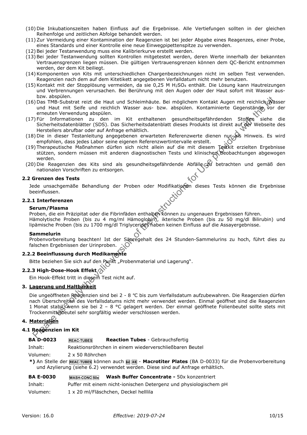- (10) Die Inkubationszeiten haben Einfluss auf die Ergebnisse. Alle Vertiefungen sollten in der gleichen Reihenfolge und zeitlichen Abfolge behandelt werden.
- (11) Zur Vermeidung einer Kontamination der Reagenzien ist bei jeder Abgabe eines Reagenzes, einer Probe, eines Standards und einer Kontrolle eine neue Einwegpipettenspitze zu verwenden.
- (12) Bei jeder Testanwendung muss eine Kalibrierkurve erstellt werden.
- (13) Bei jeder Testanwendung sollten Kontrollen mitgetestet werden, deren Werte innerhalb der bekannten Vertrauensgrenzen liegen müssen. Die gültigen Vertrauensgrenzen können dem QC-Bericht entnommen werden, der dem Kit beiliegt.
- (14) Komponenten von Kits mit unterschiedlichen Chargenbezeichnungen nicht im selben Test verwenden. Reagenzien nach dem auf dem Kitetikett angegebenen Verfalldatum nicht mehr benutzen.
- (15) Kontakt mit der Stopplösung vermeiden, da sie 0,25 M H2SO4 enthält. Die Lösung kann Hautreizungen und Verbrennungen verursachen. Bei Berührung mit den Augen oder der Haut sofort mit Wasser ausbzw. abspülen.
- (16) Das TMB-Substrat reizt die Haut und Schleimhäute. Bei möglichem Kontakt Augen mit reichlich Wasser und Haut mit Seife und reichlich Wasser aus- bzw. abspülen. Kontaminierte Gegenstände vor der erneuten Verwendung abspülen.
- (17) Für Informationen zu den im Kit enthaltenen gesundheitsgefährdenden Stoffen siehe die Sicherheitsdatenblätter (SDS). Das Sicherheitsdatenblatt dieses Produkts ist direkt auf der Webseite des Herstellers abrufbar oder auf Anfrage erhältlich.
- (18) Die in dieser Testanleitung angegebenen erwarteten Referenzwerte dienen nur als Hinweis. Es wird empfohlen, dass jedes Labor seine eigenen Referenzwertintervalle erstellt.
- (19) Therapeutische Maßnahmen dürfen sich nicht allein auf die mit diesem Testkit erzielten Ergebnisse stützen, sondern müssen mit anderen diagnostischen Tests und klinischen Beobachtungen abgewogen werden.
- (20) Die Reagenzien des Kits sind als gesundheitsgefährdende Abfälle au betrachten und gemäß den nationalen Vorschriften zu entsorgen.

## **2.2 Grenzen des Tests**

Jede unsachgemäße Behandlung der Proben oder Modifikationen dieses Tests können die Ergebnisse beeinflussen.

## **2.2.1 Interferenzen**

#### **Serum/Plasma**

Proben, die ein Präzipitat oder die Fibrinfäden enthalten können zu ungenauen Ergebnissen führen.

Hämolytische Proben (bis zu 4 mg/ml Hämoglobin), ikterische Proben (bis zu 50 mg/dl Bilirubin) und lipämische Proben (bis zu 1700 mg/dl Triglyceride) haben keinen Einfluss auf die Assayergebnisse.

#### **Sammelurin**

Probenvorbereitung beachten! Ist der Säuregehalt des 24 Stunden-Sammelurins zu hoch, führt dies zu falschen Ergebnissen der Urinproben.

## **2.2.2 Beeinflussung durch Medikamente**

Bitte beziehen Sie sich auf den Punkt "Probenmaterial und Lagerung".

## **2.2.3 High-Dose-Hook Effekt**

Ein Hook-Effekt tritt in diesem Test nicht auf.

## **3. Lagerung und Haltbarkeit**

is were entirely the the state with the valid verse rest bore. The valid version of the valid version of the valid version of the valid version of the method of the valid version of the method of the USE of the Use provide Die ungeöffneten Reagenzien sind bei 2 - 8 °C bis zum Verfallsdatum aufzubewahren. Die Reagenzien dürfen nach Überschreiten des Verfallsdatums nicht mehr verwendet werden. Einmal geöffnet sind die Reagenzien 1 Monat stabil, wenn sie bei 2 – 8 °C gelagert werden. Der einmal geöffnete Folienbeutel sollte stets mit Trockenmittelbeutel sehr sorgfältig wieder verschlossen werden.

## **4. Materialien**

## **4.1 Reagenzien im Kit**

|  | BA D-0023 | <b>REAC-TUBES</b> | <b>Reaction Tubes</b> - Gebrauchsfertig |  |
|--|-----------|-------------------|-----------------------------------------|--|
|--|-----------|-------------------|-----------------------------------------|--|

Inhalt: Reaktionsröhrchen in einem wiederverschließbaren Beutel

Volumen: 2 x 50 Röhrchen

**\*)** An Stelle der **REAC-TUBES** können auch **<sup>Ш</sup> <sup>48</sup>** - **Macrotiter Plates** (BA D-0033) für die Probenvorbereitung und Azylierung (siehe 6.2) verwendet werden. Diese sind auf Anfrage erhältlich.

#### **BA E-0030** WASH-CONC 50x Wash Buffer Concentrate - 50x konzentriert

Inhalt: Puffer mit einem nicht-ionischen Detergenz und physiologischem pH

Volumen: 1 x 20 ml/Fläschchen, Deckel helllila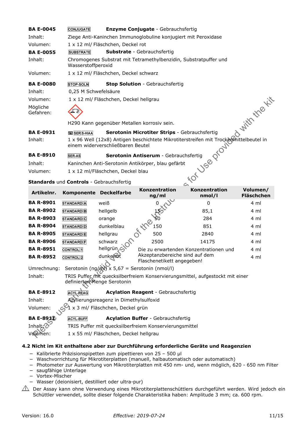| <b>BA E-0045</b>      | <b>CONJUGATE</b>                                           |                                                                                        | <b>Enzyme Conjugate - Gebrauchsfertig</b>                                                           |                                                                                                |                               |  |  |
|-----------------------|------------------------------------------------------------|----------------------------------------------------------------------------------------|-----------------------------------------------------------------------------------------------------|------------------------------------------------------------------------------------------------|-------------------------------|--|--|
| Inhalt:               |                                                            | Ziege Anti-Kaninchen Immunoglobuline konjugiert mit Peroxidase                         |                                                                                                     |                                                                                                |                               |  |  |
| Volumen:              |                                                            | 1 x 12 ml/ Fläschchen, Deckel rot                                                      |                                                                                                     |                                                                                                |                               |  |  |
| <b>BA E-0055</b>      | <b>SUBSTRATE</b>                                           | <b>Substrate</b> - Gebrauchsfertig                                                     |                                                                                                     |                                                                                                |                               |  |  |
| Inhalt:               |                                                            | Chromogenes Substrat mit Tetramethylbenzidin, Substratpuffer und<br>Wasserstoffperoxid |                                                                                                     |                                                                                                |                               |  |  |
| Volumen:              |                                                            | 1 x 12 ml/ Fläschchen, Deckel schwarz                                                  |                                                                                                     |                                                                                                |                               |  |  |
| <b>BA E-0080</b>      | <b>Stop Solution - Gebrauchsfertig</b><br><b>STOP-SOLN</b> |                                                                                        |                                                                                                     |                                                                                                |                               |  |  |
| Inhalt:               | 0,25 M Schwefelsäure                                       |                                                                                        |                                                                                                     |                                                                                                |                               |  |  |
| Volumen:              |                                                            | 1 x 12 ml/ Fläschchen, Deckel hellgrau                                                 |                                                                                                     |                                                                                                |                               |  |  |
| Mögliche<br>Gefahren: |                                                            |                                                                                        |                                                                                                     |                                                                                                | With the Kit                  |  |  |
|                       |                                                            |                                                                                        | H290 Kann gegenüber Metallen korrosiv sein.                                                         |                                                                                                |                               |  |  |
| <b>BA E-0931</b>      | <b>ED SER 5-HIAA</b>                                       |                                                                                        | Serotonin Microtiter Strips - Gebrauchsfertig                                                       |                                                                                                |                               |  |  |
| Inhalt:               |                                                            | einem widerverschließbaren Beutel                                                      |                                                                                                     | 1 x 96 Well (12x8) Antigen beschichtete Mikrotiterstreifen mit Trockermittelbeutel in<br>Drout |                               |  |  |
| <b>BA E-8910</b>      | <b>SER-AS</b>                                              |                                                                                        | Serotonin Antiserum - Gebrauchsfertig                                                               |                                                                                                |                               |  |  |
| Inhalt:               |                                                            |                                                                                        | Kaninchen Anti-Serotonin Antikörper, blau gefärbt                                                   | JSB                                                                                            |                               |  |  |
| Volumen:              |                                                            | 1 x 12 ml/Fläschchen, Deckel blau                                                      |                                                                                                     |                                                                                                |                               |  |  |
|                       | Standards und Controls - Gebrauchsfertig                   |                                                                                        |                                                                                                     | $\sim$                                                                                         |                               |  |  |
|                       |                                                            |                                                                                        |                                                                                                     |                                                                                                |                               |  |  |
| Artikelnr.            |                                                            | Komponente Deckelfarbe                                                                 | Konzentration<br>ng/ml                                                                              | Konzentration<br>nmol/l                                                                        | Volumen/<br><b>Fläschchen</b> |  |  |
| <b>BA R-8901</b>      | <b>STANDARD</b> A                                          | weiß                                                                                   |                                                                                                     | $\mathbf{0}$                                                                                   | 4 ml                          |  |  |
| <b>BA R-8902</b>      | <b>STANDARD</b> B                                          | hellgelb                                                                               |                                                                                                     | 85,1                                                                                           | 4 ml                          |  |  |
| <b>BA R-8903</b>      | <b>STANDARD</b> C                                          | orange                                                                                 |                                                                                                     | 284                                                                                            | 4 ml                          |  |  |
| <b>BA R-8904</b>      | STANDARD <sup>D</sup>                                      | dunkelblau                                                                             | South of<br>150                                                                                     | 851                                                                                            | 4 ml                          |  |  |
| <b>BA R-8905</b>      | <b>STANDARD</b> E                                          | hellgrau                                                                               | the<br>500                                                                                          | 2840                                                                                           | 4 ml                          |  |  |
| <b>BA R-8906</b>      | <b>STANDARD</b> F                                          | schwarz                                                                                | 2500                                                                                                | 14175                                                                                          | 4 ml                          |  |  |
| <b>BA R-8951</b>      | <b>CONTROL</b> <sup>1</sup>                                | hellgrün <sub>e</sub> C                                                                |                                                                                                     | Die zu erwartenden Konzentrationen und                                                         | 4 ml                          |  |  |
| <b>BA R-8952</b>      | <b>CONTROL</b> <sub>2</sub>                                | dunkelfot                                                                              | Akzeptanzbereiche sind auf dem<br>Flaschenetikett angegeben!                                        |                                                                                                | 4 ml                          |  |  |
| Umrechnung:           |                                                            |                                                                                        | Serotonin (ng/ml) x 5,67 = Serotonin (nmol/l)                                                       |                                                                                                |                               |  |  |
| Inhalt:               |                                                            | definierten Menge Serotonin                                                            |                                                                                                     | TRIS Puffer mit quecksilberfreiem Konservierungsmittel, aufgestockt mit einer                  |                               |  |  |
| <b>BA E-8912</b>      | <b>ACYL-REAG</b>                                           |                                                                                        | <b>Acylation Reagent - Gebrauchsfertig</b>                                                          |                                                                                                |                               |  |  |
| Inhalt:               |                                                            | Azylierungsreagenz in Dimethylsulfoxid                                                 |                                                                                                     |                                                                                                |                               |  |  |
| Volumen:              |                                                            | x 3 ml/ Fläschchen, Deckel grün                                                        |                                                                                                     |                                                                                                |                               |  |  |
| <b>BA E-8912</b>      |                                                            |                                                                                        |                                                                                                     |                                                                                                |                               |  |  |
| Inhalt:'Z             | <b>ACYL-BUFF</b>                                           |                                                                                        | <b>Acylation Buffer - Gebrauchsfertig</b><br>TRIS Puffer mit quecksilberfreiem Konservierungsmittel |                                                                                                |                               |  |  |
| Volumen:              |                                                            | 1 x 55 ml/ Fläschchen, Deckel hellgrau                                                 |                                                                                                     |                                                                                                |                               |  |  |

- − Kalibrierte Präzisionspipetten zum pipettieren von 25 500 µl
- − Waschvorrichtung für Mikrotiterplatten (manuell, halbautomatisch oder automatisch)
- − Photometer zur Auswertung von Mikrotiterplatten mit 450 nm- und, wenn möglich, 620 650 nm Filter
- − saugfähige Unterlage
- − Vortex-Mischer
- − Wasser (deionisiert, destilliert oder ultra-pur)
- $\hat{\triangle}$  Der Assay kann ohne Verwendung eines Mikrotiterplattenschüttlers durchgeführt werden. Wird jedoch ein Schüttler verwendet, sollte dieser folgende Charakteristika haben: Amplitude 3 mm; ca. 600 rpm.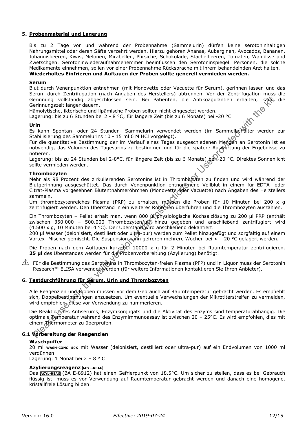## **5. Probenmaterial und Lagerung**

Bis zu 2 Tage vor und während der Probennahme (Sammelurin) dürfen keine serotoninhaltigen Nahrungsmittel oder deren Säfte verzehrt werden. Hierzu gehören Ananas, Auberginen, Avocados, Bananen, Johannisbeeren, Kiwis, Melonen, Mirabellen, Pfirsiche, Schokolade, Stachelbeeren, Tomaten, Walnüsse und Zwetschgen. Serotoninwiederaufnahmehemmer beeinflussen den Serotoninspiegel. Personen, die solche Medikamente einnehmen, sollen vor einer Probennahme Rücksprache mit ihrem behandelnden Arzt halten. **Wiederholtes Einfrieren und Auftauen der Proben sollte generell vermieden werden.** 

#### **Serum**

Blut durch Venenpunktion entnehmen (mit Monovette oder Vacuette für Serum), gerinnen lassen und das Serum durch Zentrifugation (nach Angaben des Herstellers) abtrennen. Vor der Zentrifugation muss die Gerinnung vollständig abgeschlossen sein. Bei Patienten, die Antikoagulantien erhalten, kann die Gerinnungszeit länger dauern.

Hämolytische, ikterische und lipämische Proben sollten nicht eingesetzt werden.

Lagerung: bis zu 6 Stunden bei 2 - 8 °C; für längere Zeit (bis zu 6 Monate) bei -20 °C

#### **Urin**

Es kann Spontan- oder 24 Stunden- Sammelurin verwendet werden (im Sammelbehälter werden zur Stabilisierung des Sammelurins 10 - 15 ml 6 M HCl vorgelegt).

Für die quantitative Bestimmung der im Verlauf eines Tages ausgeschiedenen Mengen an Serotonin ist es notwendig, das Volumen des Tagesurins zu bestimmen und für die spätere Auswertung der Ergebnisse zu notieren.

Lagerung: bis zu 24 Stunden bei 2-8°C, für längere Zeit (bis zu 6 Monate) beh-20 °C. Direktes Sonnenlicht sollte vermieden werden.

#### **Thrombozyten**

erinnung voliständig aboeschildsen i sein. Bei Patienten, die Antikoagulantien erhalten, kenäkuren<br>erinnungszeit länger dauern.<br>
aimolytische, ikterásche und lipänische Proben solltan nicht einigesetzt werden.<br>
Stann Spont Mehr als 98 Prozent des zirkulierenden Serotonins ist in Thrombozyten zu finden und wird während der Blutgerinnung ausgeschüttet. Das durch Venenpunktion entnommene Vollblut in einem für EDTA- oder Citrat-Plasma vorgesehnen Blutentnahmeröhrchen (Monovette oder Vacuette) nach Angaben des Herstellers sammeln.

Um thrombozytenreiches Plasma (PRP) zu erhalten, müssen die Proben für 10 Minuten bei 200 x g zentrifugiert werden. Den Überstand in ein weiteres Röhrchen überführen und die Thrombozyten auszählen.

Ein Thrombozyten – Pellet erhält man, wenn 800 µ\physiologische Kochsalzlösung zu 200 µl PRP (enthält zwischen 350.000 - 500.000 Thrombozyten/ul) hinzu gegeben und anschließend zentrifugiert wird (4.500 x g, 10 Minuten bei 4 °C). Der Überstand wird anschließend dekantiert.

200 µl Wasser (deionisiert, destilliert oder ultra-pur) werden zum Pellet hinzugefügt und sorgfältig auf einem Vortex- Mischer gemischt. Die Suspension kann gefroren mehrere Wochen bei < – 20 °C gelagert werden.

Die Proben nach dem Auftauen kurz bei 10000 x q für 2 Minuten bei Raumtemperatur zentrifugieren. **25 µl** des Überstandes werden für die Probenvorbereitung (Azylierung) benötigt.

 $\triangle$  Für die Bestimmung des Serotonins in Thrombozyten-freien Plasma (PFP) und in Liquor muss der Serotonin Research™ ELISA verwendet werden (für weitere Informationen kontaktieren Sie Ihren Anbieter).

## **6. Testdurchführung für Serum, Urin und Thrombozyten**

Alle Reagenzien und Proben müssen vor dem Gebrauch auf Raumtemperatur gebracht werden. Es empfiehlt sich, Doppelbestimmungen anzusetzen. Um eventuelle Verwechslungen der Mikrotiterstreifen zu vermeiden, wird empfohlen, diese vor Verwendung zu nummerieren.

Die Reaktion des Antiserums, Enzymkonjugats und die Aktivität des Enzyms sind temperaturabhängig. Die optimale Temperatur während des Enzymimmunoassay ist zwischen 20 – 25°C. Es wird empfohlen, dies mit einem Thermometer zu überprüfen.

## **6.1 Vorbereitung der Reagenzien**

## **Waschpuffer**

20 ml **WASH-CONC 50X** mit Wasser (deionisiert, destilliert oder ultra-pur) auf ein Endvolumen von 1000 ml verdünnen.

Lagerung: 1 Monat bei 2 - 8 ° C

#### **Azylierungsreagenz ACYL-REAG**

Das **ACYL-REAG** (BA E-8912) hat einen Gefrierpunkt von 18.5°C. Um sicher zu stellen, dass es bei Gebrauch flüssig ist, muss es vor Verwendung auf Raumtemperatur gebracht werden und danach eine homogene, kristallfreie Lösung bilden.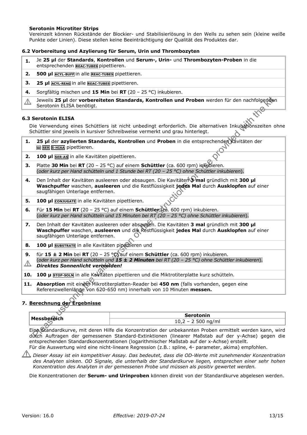## **Serotonin Microtiter Strips**

Vereinzelt können Rückstände der Blockier- und Stabilisierlösung in den Wells zu sehen sein (kleine weiße Punkte oder Linien). Diese stellen keine Beeinträchtigung der Qualität des Produktes dar.

## **6.2 Vorbereitung und Azylierung für Serum, Urin und Thrombozyten**

- **1.** Je **25 µl** der **Standards**, **Kontrollen** und **Serum-, Urin-** und **Thrombozyten-Proben** in die entsprechenden **REAC-TUBES** pipettieren.
- **2. 500 µl ACYL-BUFF** in alle **REAC-TUBES** pipettieren.
- **3. 25 µl ACYL-REAG** in alle **REAC-TUBES** pipettieren.
- **4.** Sorgfältig mischen und **15 Min** bei **RT** (20 25 °C) inkubieren.
- Jeweils **25 µl** der **vorbereiteten Standards, Kontrollen und Proben** werden für den nachfolgenden  $\bigwedge$ Serotonin ELISA benötigt.

#### **6.3 Serotonin ELISA**

Die Verwendung eines Schüttlers ist nicht unbedingt erforderlich. Die alternativen Inkubationszeiten ohne Schüttler sind jeweils in kursiver Schreibweise vermerkt und grau hinterlegt.

- 1. 25 µl der azylierten Standards, Kontrollen und Proben in die entsprechenden Kavitäten der **<sup>Ш</sup> SER 5-HIAA** pipettieren.
- **2. 100 µl SER-AS** in alle Kavitäten pipettieren.
- **3.** Platte **30 Min** bei **RT** (20 25 °C) auf einem **Schüttler** (ca. 600 rpm) inkubieren. (*oder kurz per Hand schütteln und 1 Stunde bei RT (20 – 25 °C) ohne Schüttler inkubieren*).
- **4.** Den Inhalt der Kavitäten ausleeren oder absaugen. Die Kavitäten **3 mal** gründlich mit **300 µl Waschpuffer** waschen, **ausleeren** und die Restflüssigkeit **jedes Mal** durch **Ausklopfen** auf einer saugfähigen Unterlage entfernen.
- **5. 100 µl CONJUGATE** in alle Kavitäten pipettieren.
- **6.** Für **15 Min** bei **RT** (20 25 °C) auf einem **Schüttler** (ca. 600 rpm) inkubieren. (*oder kurz per Hand schütteln und 15 Minuten bei RT (20 – 25 °C) ohne Schüttler inkubieren*).
- **7.** Den Inhalt der Kavitäten ausleeren oder absaugen. Die Kavitäten **3 mal** gründlich mit **300 µl Waschpuffer** waschen, **ausleeren** und die Restflüssigkeit **jedes Mal** durch **Ausklopfen** auf einer saugfähigen Unterlage entfernen.
- 8. 100 µl **SUBSTRATE** in alle Kavitäten pipettieren und
- Develis 25 pli der versherieteten Standards, Kontrollen und Proben werden für den nachfologique<br>
Serotonin ELISA<br>
Serotonin ELISA<br>
et verwendung dens Schüttlers ist nicht unbedingt erforderlich. Die alternativen Inkubaton **9.** für **15 ± 2 Min** bei **RT** (20 – 25 °C) auf einem **Schüttler** (ca. 600 rpm) inkubieren. (*oder kurz per Hand schütteln und 15 ± 2 Minuten bei RT (20 – 25 °C) ohne Schüttler inkubieren*).  $\bigwedge$ *Direktes Sonnenlicht vermeiden!*

**10. 100 µ STOP-SOLN** in alle Kavitäten pipettieren und die Miktrotiterplatte kurz schütteln.

11. Absorption mit einem Mikrotiterplatten-Reader bei 450 nm (falls vorhanden, gegen eine Referenzwellenlänge von 620-650 nm) innerhalb von 10 Minuten **messen.** 

## **7. Berechnung der Ergebnisse**

| Messhe<br>-- | erotonin                                                   |  |  |  |
|--------------|------------------------------------------------------------|--|--|--|
| .<br>_       | nq/m<br>$\overline{\phantom{0}}$<br>.<br>∸ ∪ ,<br>-<br>, ت |  |  |  |

Eine Standardkurve, mit deren Hilfe die Konzentration der unbekannten Proben ermittelt werden kann, wird durch Auftragen der gemessenen Standard-Extinktionen (linearer Maßstab auf der y-Achse) gegen die entsprechenden Standardkonzentrationen (logarithmischer Maßstab auf der x-Achse) erstellt. Für die Auswertung wird eine nicht-lineare Regression (z.B.: spline, 4- parameter, akima) empfohlen.

*Dieser Assay ist ein kompetitiver Assay. Das bedeutet, dass die OD-Werte mit zunehmender Konzentration des Analyten sinken. OD Signale, die unterhalb der Standardkurve liegen, entsprechen einer sehr hohen Konzentration des Analyten in der gemessenen Probe und müssen als positiv gewertet werden.* 

Die Konzentrationen der **Serum- und Urinproben** können direkt von der Standardkurve abgelesen werden.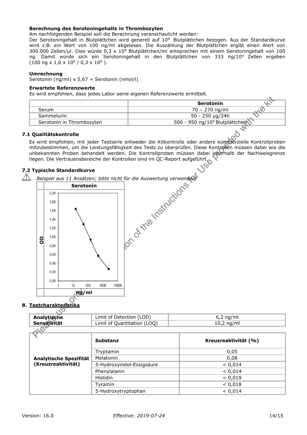## **Berechnung des Serotoningehalts in Thrombozyten**

Am nachfolgenden Beispiel soll die Berechnung veranschaulicht werden:

Der Serotoningehalt in Blutplättchen wird generell auf 10<sup>9</sup> Blutplättchen bezogen. Aus der Standardkurve wird z.B. ein Wert von 100 ng/ml abgelesen. Die Auszählung der Blutplättchen ergibt einen Wert von 300.000 Zellen/µl. Dies würde 0,3 x 10<sup>9</sup> Blutplättchen/ml entsprechen mit einem Serotoningehalt von 100 ng. Damit würde sich ein Serotoningehalt in den Blutplättchen von 333 ng/10<sup>9</sup> Zellen ergeben  $(100 \text{ ng x } 1,0 \times 10^9 / 0,3 \times 10^9).$ 

## **Umrechnung**

Serotonin (ng/ml) x 5,67 = Serotonin (nmol/l)

## **Erwartete Referenzwerte**

Es wird empfohlen, dass jedes Labor seine eigenen Referenzwerte ermittelt.

|                           | Serotonin                                  |
|---------------------------|--------------------------------------------|
| Serum                     | 70 – 270 ng/ml                             |
| Sammelurin                | 50 - 250 µg/24h                            |
| Serotonin in Thrombozyten | 500 - 950 ng/10 <sup>9</sup> Blutplättchen |
|                           |                                            |

#### **7.1 Qualitätskontrolle**

Es wird empfohlen, mit jeder Testserie entweder die Kitkontrolle oder andere kommerzielle Kontrollproben mitzubestimmen, um die Leistungsfähigkeit des Tests zu überprüfen. Diese Kontrollen müssen dabei wie die unbekannten Proben behandelt werden. Die Kontrollproben müssen dabei inherhalb der Nachweisgrenze liegen. Die Vertrauensbereiche der Kontrollen sind im QC-Report aufgeführt.

## **7.2 Typische Standardkurve**



## **8. Testcharakteristika**

|                             | Limit of Detection (LOD)    | $6,2$ ng/ml  |
|-----------------------------|-----------------------------|--------------|
| Analytische<br>Sensitivität | Limit of Quantitation (LOQ) | $10,2$ ng/ml |
| ~~                          |                             |              |

| $\triangle$            |                           |                      |  |  |
|------------------------|---------------------------|----------------------|--|--|
|                        | <b>Substanz</b>           | Kreuzreaktivität (%) |  |  |
|                        | Tryptamin                 | 0,05                 |  |  |
| Analytische Spezifität | Melatonin                 | 0,08                 |  |  |
| (Kreuzreaktivität)     | 5-Hydroxyindol-Essigsäure | < 0.014              |  |  |
|                        | Phenylalanin              | < 0.014              |  |  |
|                        | <b>Histidin</b>           | < 0.019              |  |  |
|                        | Tyramin                   | < 0.018              |  |  |
|                        | 5-Hydroxytryptophan       | < 0.014              |  |  |